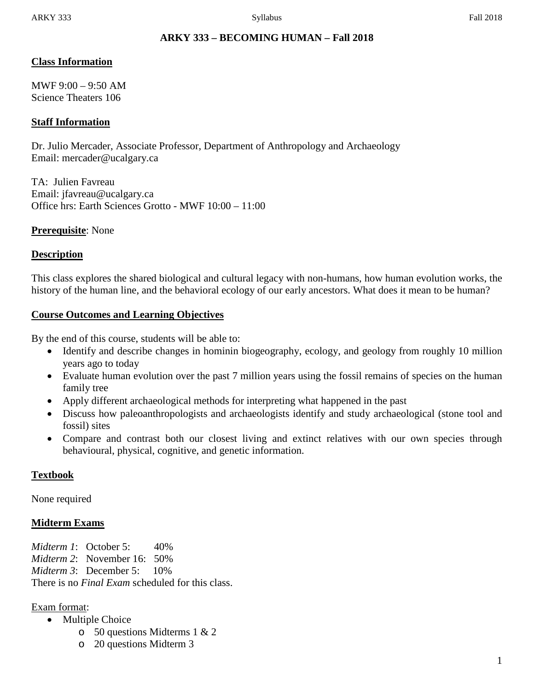# **ARKY 333 – BECOMING HUMAN – Fall 2018**

### **Class Information**

MWF  $9:00 - 9:50$  AM Science Theaters 106

### **Staff Information**

Dr. Julio Mercader, Associate Professor, Department of Anthropology and Archaeology Email: mercader@ucalgary.ca

TA: Julien Favreau Email: jfavreau@ucalgary.ca Office hrs: Earth Sciences Grotto - MWF 10:00 – 11:00

### **Prerequisite**: None

### **Description**

This class explores the shared biological and cultural legacy with non-humans, how human evolution works, the history of the human line, and the behavioral ecology of our early ancestors. What does it mean to be human?

### **Course Outcomes and Learning Objectives**

By the end of this course, students will be able to:

- Identify and describe changes in hominin biogeography, ecology, and geology from roughly 10 million years ago to today
- Evaluate human evolution over the past 7 million years using the fossil remains of species on the human family tree
- Apply different archaeological methods for interpreting what happened in the past
- Discuss how paleoanthropologists and archaeologists identify and study archaeological (stone tool and fossil) sites
- Compare and contrast both our closest living and extinct relatives with our own species through behavioural, physical, cognitive, and genetic information.

# **Textbook**

None required

# **Midterm Exams**

*Midterm 1*: October 5: 40% *Midterm 2*: November 16: 50% *Midterm 3*: December 5: 10% There is no *Final Exam* scheduled for this class.

### Exam format:

- Multiple Choice
	- o 50 questions Midterms 1 & 2
	- o 20 questions Midterm 3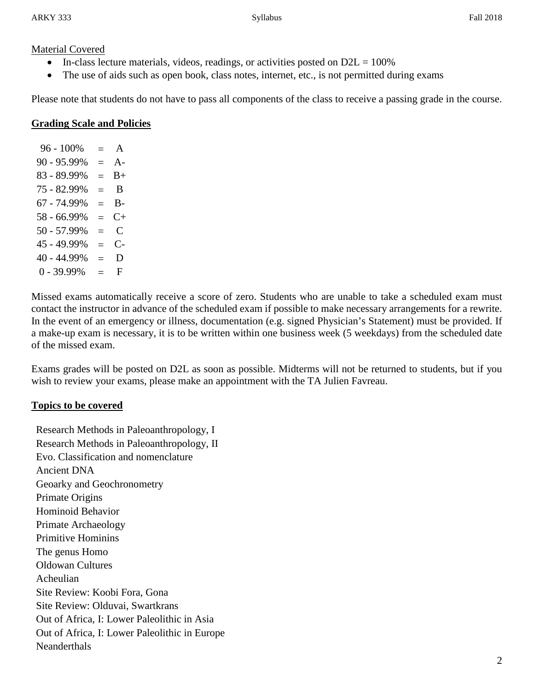#### Material Covered

- In-class lecture materials, videos, readings, or activities posted on  $D2L = 100\%$
- The use of aids such as open book, class notes, internet, etc., is not permitted during exams

Please note that students do not have to pass all components of the class to receive a passing grade in the course.

#### **Grading Scale and Policies**

 $96 - 100\% = A$  $90 - 95.99\% = A$  $83 - 89.99\% = B +$  $75 - 82.99\% = B$  $67 - 74.99\% = \text{B}$  $58 - 66.99\% = C +$  $50 - 57.99\% = C$  $45 - 49.99\% = C$  $40 - 44.99\% = D$  $0 - 39.99\% = F$ 

Missed exams automatically receive a score of zero. Students who are unable to take a scheduled exam must contact the instructor in advance of the scheduled exam if possible to make necessary arrangements for a rewrite. In the event of an emergency or illness, documentation (e.g. signed Physician's Statement) must be provided. If a make-up exam is necessary, it is to be written within one business week (5 weekdays) from the scheduled date of the missed exam.

Exams grades will be posted on D2L as soon as possible. Midterms will not be returned to students, but if you wish to review your exams, please make an appointment with the TA Julien Favreau.

### **Topics to be covered**

Research Methods in Paleoanthropology, I Research Methods in Paleoanthropology, II Evo. Classification and nomenclature Ancient DNA Geoarky and Geochronometry Primate Origins Hominoid Behavior Primate Archaeology Primitive Hominins The genus Homo Oldowan Cultures Acheulian Site Review: Koobi Fora, Gona Site Review: Olduvai, Swartkrans Out of Africa, I: Lower Paleolithic in Asia Out of Africa, I: Lower Paleolithic in Europe **Neanderthals**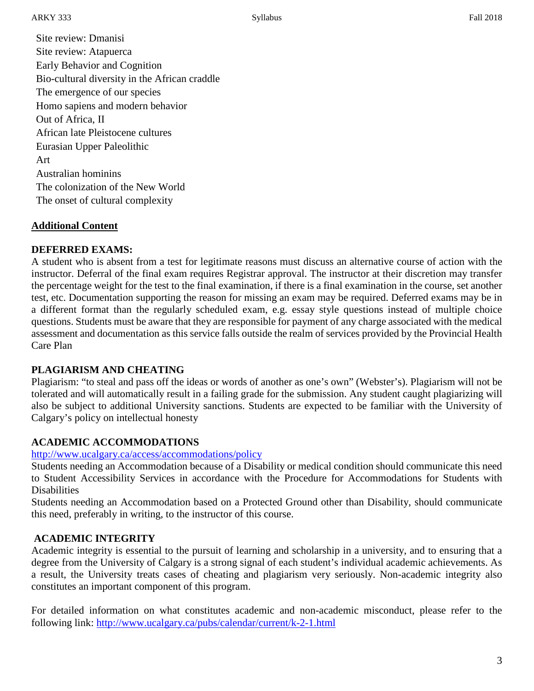Site review: Dmanisi Site review: Atapuerca Early Behavior and Cognition Bio-cultural diversity in the African craddle The emergence of our species Homo sapiens and modern behavior Out of Africa, II African late Pleistocene cultures Eurasian Upper Paleolithic Art Australian hominins The colonization of the New World The onset of cultural complexity

# **Additional Content**

# **DEFERRED EXAMS:**

A student who is absent from a test for legitimate reasons must discuss an alternative course of action with the instructor. Deferral of the final exam requires Registrar approval. The instructor at their discretion may transfer the percentage weight for the test to the final examination, if there is a final examination in the course, set another test, etc. Documentation supporting the reason for missing an exam may be required. Deferred exams may be in a different format than the regularly scheduled exam, e.g. essay style questions instead of multiple choice questions. Students must be aware that they are responsible for payment of any charge associated with the medical assessment and documentation as this service falls outside the realm of services provided by the Provincial Health Care Plan

# **PLAGIARISM AND CHEATING**

Plagiarism: "to steal and pass off the ideas or words of another as one's own" (Webster's). Plagiarism will not be tolerated and will automatically result in a failing grade for the submission. Any student caught plagiarizing will also be subject to additional University sanctions. Students are expected to be familiar with the University of Calgary's policy on intellectual honesty

# **ACADEMIC ACCOMMODATIONS**

#### <http://www.ucalgary.ca/access/accommodations/policy>

Students needing an Accommodation because of a Disability or medical condition should communicate this need to Student Accessibility Services in accordance with the Procedure for Accommodations for Students with **Disabilities** 

Students needing an Accommodation based on a Protected Ground other than Disability, should communicate this need, preferably in writing, to the instructor of this course.

### **ACADEMIC INTEGRITY**

Academic integrity is essential to the pursuit of learning and scholarship in a university, and to ensuring that a degree from the University of Calgary is a strong signal of each student's individual academic achievements. As a result, the University treats cases of cheating and plagiarism very seriously. Non-academic integrity also constitutes an important component of this program.

For detailed information on what constitutes academic and non-academic misconduct, please refer to the following link:<http://www.ucalgary.ca/pubs/calendar/current/k-2-1.html>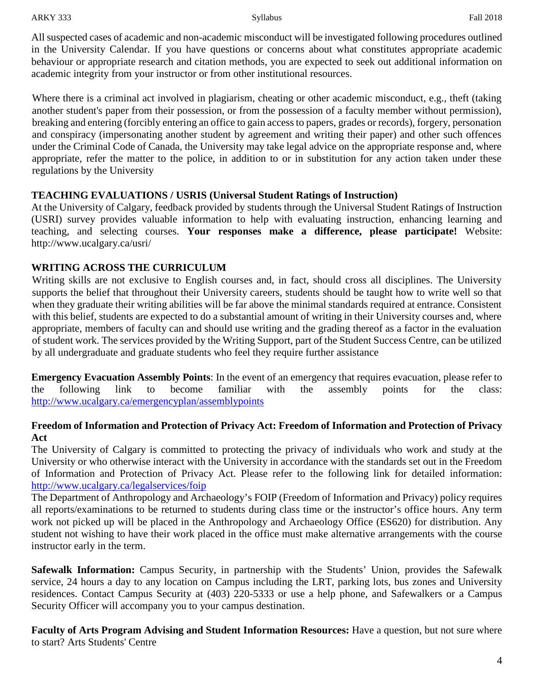ARKY 333 Fall 2018

All suspected cases of academic and non-academic misconduct will be investigated following procedures outlined in the University Calendar. If you have questions or concerns about what constitutes appropriate academic behaviour or appropriate research and citation methods, you are expected to seek out additional information on academic integrity from your instructor or from other institutional resources.

Where there is a criminal act involved in plagiarism, cheating or other academic misconduct, e.g., theft (taking another student's paper from their possession, or from the possession of a faculty member without permission), breaking and entering (forcibly entering an office to gain access to papers, grades or records), forgery, personation and conspiracy (impersonating another student by agreement and writing their paper) and other such offences under the Criminal Code of Canada, the University may take legal advice on the appropriate response and, where appropriate, refer the matter to the police, in addition to or in substitution for any action taken under these regulations by the University

### **TEACHING EVALUATIONS / USRIS (Universal Student Ratings of Instruction)**

At the University of Calgary, feedback provided by students through the Universal Student Ratings of Instruction (USRI) survey provides valuable information to help with evaluating instruction, enhancing learning and teaching, and selecting courses. **Your responses make a difference, please participate!** Website: http://www.ucalgary.ca/usri/

### **WRITING ACROSS THE CURRICULUM**

Writing skills are not exclusive to English courses and, in fact, should cross all disciplines. The University supports the belief that throughout their University careers, students should be taught how to write well so that when they graduate their writing abilities will be far above the minimal standards required at entrance. Consistent with this belief, students are expected to do a substantial amount of writing in their University courses and, where appropriate, members of faculty can and should use writing and the grading thereof as a factor in the evaluation of student work. The services provided by the Writing Support, part of the Student Success Centre, can be utilized by all undergraduate and graduate students who feel they require further assistance

**Emergency Evacuation Assembly Points**: In the event of an emergency that requires evacuation, please refer to the following link to become familiar with the assembly points for the class: <http://www.ucalgary.ca/emergencyplan/assemblypoints>

### **Freedom of Information and Protection of Privacy Act: Freedom of Information and Protection of Privacy Act**

The University of Calgary is committed to protecting the privacy of individuals who work and study at the University or who otherwise interact with the University in accordance with the standards set out in the Freedom of Information and Protection of Privacy Act. Please refer to the following link for detailed information: <http://www.ucalgary.ca/legalservices/foip>

The Department of Anthropology and Archaeology's FOIP (Freedom of Information and Privacy) policy requires all reports/examinations to be returned to students during class time or the instructor's office hours. Any term work not picked up will be placed in the Anthropology and Archaeology Office (ES620) for distribution. Any student not wishing to have their work placed in the office must make alternative arrangements with the course instructor early in the term.

**Safewalk Information:** Campus Security, in partnership with the Students' Union, provides the Safewalk service, 24 hours a day to any location on Campus including the LRT, parking lots, bus zones and University residences. Contact Campus Security at (403) 220-5333 or use a help phone, and Safewalkers or a Campus Security Officer will accompany you to your campus destination.

**Faculty of Arts Program Advising and Student Information Resources:** Have a question, but not sure where to start? Arts Students' Centre